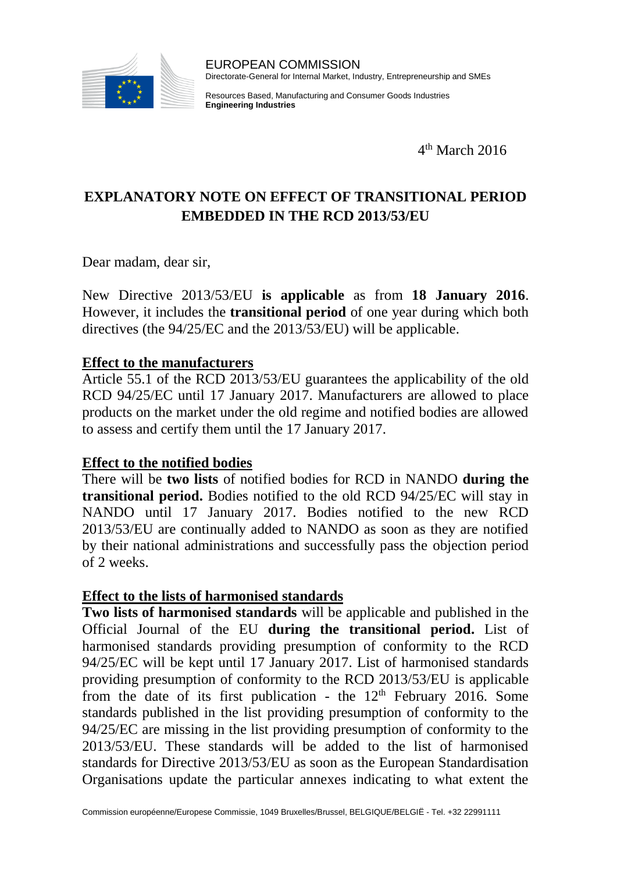

Resources Based, Manufacturing and Consumer Goods Industries **Engineering Industries**

4 th March 2016

## **EXPLANATORY NOTE ON EFFECT OF TRANSITIONAL PERIOD EMBEDDED IN THE RCD 2013/53/EU**

Dear madam, dear sir,

New Directive 2013/53/EU **is applicable** as from **18 January 2016**. However, it includes the **transitional period** of one year during which both directives (the 94/25/EC and the 2013/53/EU) will be applicable.

## **Effect to the manufacturers**

Article 55.1 of the RCD 2013/53/EU guarantees the applicability of the old RCD 94/25/EC until 17 January 2017. Manufacturers are allowed to place products on the market under the old regime and notified bodies are allowed to assess and certify them until the 17 January 2017.

## **Effect to the notified bodies**

There will be **two lists** of notified bodies for RCD in NANDO **during the transitional period.** Bodies notified to the old RCD 94/25/EC will stay in NANDO until 17 January 2017. Bodies notified to the new RCD 2013/53/EU are continually added to NANDO as soon as they are notified by their national administrations and successfully pass the objection period of 2 weeks.

## **Effect to the lists of harmonised standards**

**Two lists of harmonised standards** will be applicable and published in the Official Journal of the EU **during the transitional period.** List of harmonised standards providing presumption of conformity to the RCD 94/25/EC will be kept until 17 January 2017. List of harmonised standards providing presumption of conformity to the RCD 2013/53/EU is applicable from the date of its first publication - the  $12<sup>th</sup>$  February 2016. Some standards published in the list providing presumption of conformity to the 94/25/EC are missing in the list providing presumption of conformity to the 2013/53/EU. These standards will be added to the list of harmonised standards for Directive 2013/53/EU as soon as the European Standardisation Organisations update the particular annexes indicating to what extent the